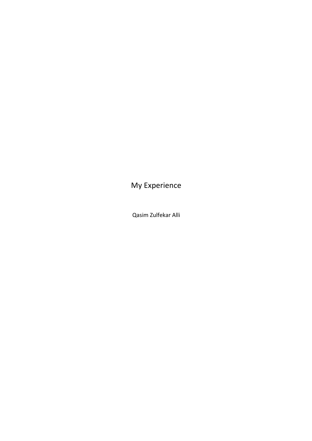My Experience

Qasim Zulfekar Alli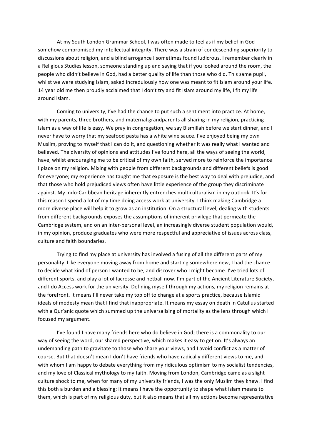At my South London Grammar School, I was often made to feel as if my belief in God somehow compromised my intellectual integrity. There was a strain of condescending superiority to discussions about religion, and a blind arrogance I sometimes found ludicrous. I remember clearly in a Religious Studies lesson, someone standing up and saying that if you looked around the room, the people who didn't believe in God, had a better quality of life than those who did. This same pupil, whilst we were studying Islam, asked incredulously how one was meant to fit Islam around your life. 14 year old me then proudly acclaimed that I don't try and fit Islam around my life, I fit my life around Islam. 

Coming to university, I've had the chance to put such a sentiment into practice. At home, with my parents, three brothers, and maternal grandparents all sharing in my religion, practicing Islam as a way of life is easy. We pray in congregation, we say Bismillah before we start dinner, and I never have to worry that my seafood pasta has a white wine sauce. I've enjoyed being my own Muslim, proving to myself that I can do it, and questioning whether it was really what I wanted and believed. The diversity of opinions and attitudes I've found here, all the ways of seeing the world, have, whilst encouraging me to be critical of my own faith, served more to reinforce the importance I place on my religion. Mixing with people from different backgrounds and different beliefs is good for everyone; my experience has taught me that exposure is the best way to deal with prejudice, and that those who hold prejudiced views often have little experience of the group they discriminate against. My Indo-Caribbean heritage inherently entrenches multiculturalism in my outlook. It's for this reason I spend a lot of my time doing access work at university. I think making Cambridge a more diverse place will help it to grow as an institution. On a structural level, dealing with students from different backgrounds exposes the assumptions of inherent privilege that permeate the Cambridge system, and on an inter-personal level, an increasingly diverse student population would, in my opinion, produce graduates who were more respectful and appreciative of issues across class, culture and faith boundaries.

Trying to find my place at university has involved a fusing of all the different parts of my personality. Like everyone moving away from home and starting somewhere new, I had the chance to decide what kind of person I wanted to be, and discover who I might become. I've tried lots of different sports, and play a lot of lacrosse and netball now, I'm part of the Ancient Literature Society, and I do Access work for the university. Defining myself through my actions, my religion remains at the forefront. It means I'll never take my top off to change at a sports practice, because Islamic ideals of modesty mean that I find that inappropriate. It means my essay on death in Catullus started with a Qur'anic quote which summed up the universalising of mortality as the lens through which I focused my argument.

I've found I have many friends here who do believe in God; there is a commonality to our way of seeing the word, our shared perspective, which makes it easy to get on. It's always an undemanding path to gravitate to those who share your views, and I avoid conflict as a matter of course. But that doesn't mean I don't have friends who have radically different views to me, and with whom I am happy to debate everything from my ridiculous optimism to my socialist tendencies, and my love of Classical mythology to my faith. Moving from London, Cambridge came as a slight culture shock to me, when for many of my university friends, I was the only Muslim they knew. I find this both a burden and a blessing; it means I have the opportunity to shape what Islam means to them, which is part of my religious duty, but it also means that all my actions become representative